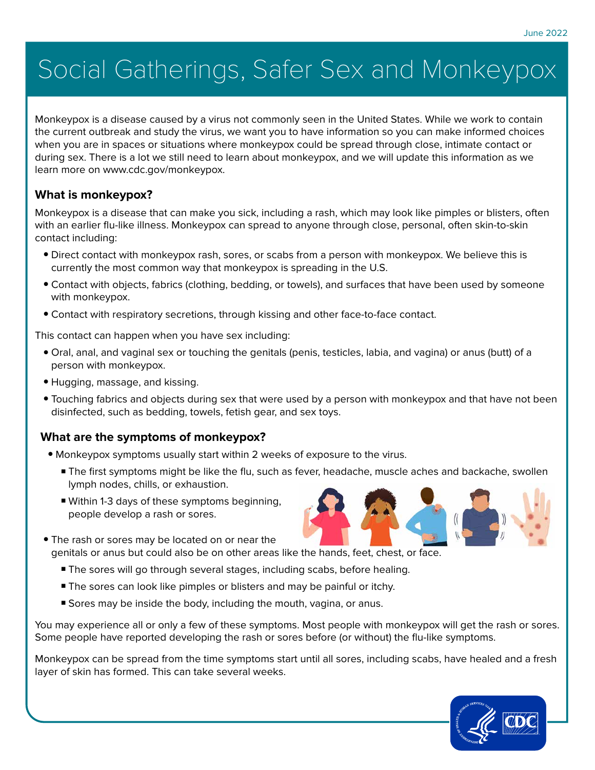# Social Gatherings, Safer Sex and Monkeypox

Monkeypox is a disease caused by a virus not commonly seen in the United States. While we work to contain the current outbreak and study the virus, we want you to have information so you can make informed choices when you are in spaces or situations where monkeypox could be spread through close, intimate contact or during sex. There is a lot we still need to learn about monkeypox, and we will update this information as we learn more on [www.cdc.gov/monkeypox](https://www.cdc.gov/poxvirus/monkeypox/response/2022/index.html).

## **What is monkeypox?**

Monkeypox is a disease that can make you sick, including a rash, which may look like pimples or blisters, often with an earlier flu-like illness. Monkeypox can spread to anyone through close, personal, often skin-to-skin contact including:

- Direct contact with monkeypox rash, sores, or scabs from a person with monkeypox. We believe this is currently the most common way that monkeypox is spreading in the U.S.
- Contact with objects, fabrics (clothing, bedding, or towels), and surfaces that have been used by someone with monkeypox.
- Contact with respiratory secretions, through kissing and other face-to-face contact.

This contact can happen when you have sex including:

- Oral, anal, and vaginal sex or touching the genitals (penis, testicles, labia, and vagina) or anus (butt) of a person with monkeypox.
- Hugging, massage, and kissing.
- Touching fabrics and objects during sex that were used by a person with monkeypox and that have not been disinfected, such as bedding, towels, fetish gear, and sex toys.

# **What are the symptoms of monkeypox?**

- Monkeypox symptoms usually start within 2 weeks of exposure to the virus.
	- The first symptoms might be like the flu, such as fever, headache, muscle aches and backache, swollen lymph nodes, chills, or exhaustion.
	- Within 1-3 days of these symptoms beginning, people develop a rash or sores.
- The rash or sores may be located on or near the genitals or anus but could also be on other areas like the hands, feet, chest, or face.
	- The sores will go through several stages, including scabs, before healing.
	- The sores can look like pimples or blisters and may be painful or itchy.
	- Sores may be inside the body, including the mouth, vagina, or anus.

You may experience all or only a few of these symptoms. Most people with monkeypox will get the rash or sores. Some people have reported developing the rash or sores before (or without) the flu-like symptoms.

Monkeypox can be spread from the time symptoms start until all sores, including scabs, have healed and a fresh layer of skin has formed. This can take several weeks.